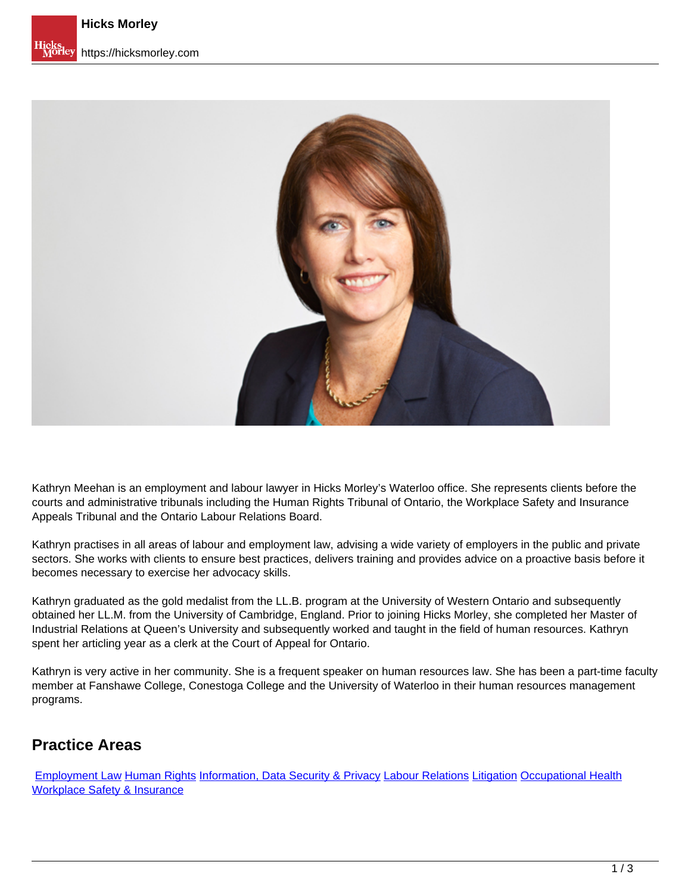

Kathryn Meehan is an employment and labour lawyer in Hicks Morley's Waterloo office. She represents clients before the courts and administrative tribunals including the Human Rights Tribunal of Ontario, the Workplace Safety and Insurance Appeals Tribunal and the Ontario Labour Relations Board.

Kathryn practises in all areas of labour and employment law, advising a wide variety of employers in the public and private sectors. She works with clients to ensure best practices, delivers training and provides advice on a proactive basis before it becomes necessary to exercise her advocacy skills.

Kathryn graduated as the gold medalist from the LL.B. program at the University of Western Ontario and subsequently obtained her LL.M. from the University of Cambridge, England. Prior to joining Hicks Morley, she completed her Master of Industrial Relations at Queen's University and subsequently worked and taught in the field of human resources. Kathryn spent her articling year as a clerk at the Court of Appeal for Ontario.

Kathryn is very active in her community. She is a frequent speaker on human resources law. She has been a part-time faculty member at Fanshawe College, Conestoga College and the University of Waterloo in their human resources management programs.

## **Practice Areas**

[Employment Law](https://hicksmorley.com/expertise/employment-law) Human Rights Information, Data Security & Privacy Labour Relations Litigation Occupational Health Workplace Safety & Insurance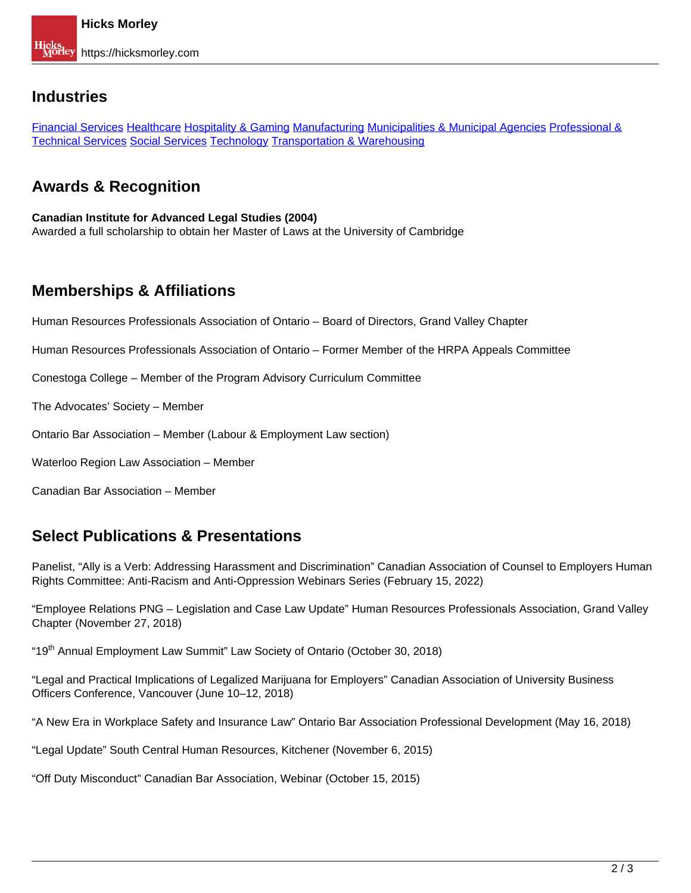#### **Industries**

Financial Services Healthcare Hospitality & Gaming Manufacturing Municipalities & Municipal Agencies Professional & Technical Services Social Services Technology Transportation & Warehousing

# **Awards & Recognition**

# **Canadian Institute for Advanced Legal Studies (2004)**

Awarded a full scholarship to obtain her Master of Laws at the University of Cambridge

# **Memberships & Affiliations**

Human Resources Professionals Association of Ontario – Board of Directors, Grand Valley Chapter

Human Resources Professionals Association of Ontario – Former Member of the HRPA Appeals Committee

Conestoga College – Member of the Program Advisory Curriculum Committee

The Advocates' Society – Member

Ontario Bar Association – Member (Labour & Employment Law section)

Waterloo Region Law Association – Member

Canadian Bar Association – Member

## **Select Publications & Presentations**

Panelist, "Ally is a Verb: Addressing Harassment and Discrimination" Canadian Association of Counsel to Employers Human Rights Committee: Anti-Racism and Anti-Oppression Webinars Series (February 15, 2022)

"Employee Relations PNG – Legislation and Case Law Update" Human Resources Professionals Association, Grand Valley Chapter (November 27, 2018)

"19<sup>th</sup> Annual Employment Law Summit" Law Society of Ontario (October 30, 2018)

"Legal and Practical Implications of Legalized Marijuana for Employers" Canadian Association of University Business Officers Conference, Vancouver (June 10–12, 2018)

"A New Era in Workplace Safety and Insurance Law" Ontario Bar Association Professional Development (May 16, 2018)

"Legal Update" South Central Human Resources, Kitchener (November 6, 2015)

"Off Duty Misconduct" Canadian Bar Association, Webinar (October 15, 2015)